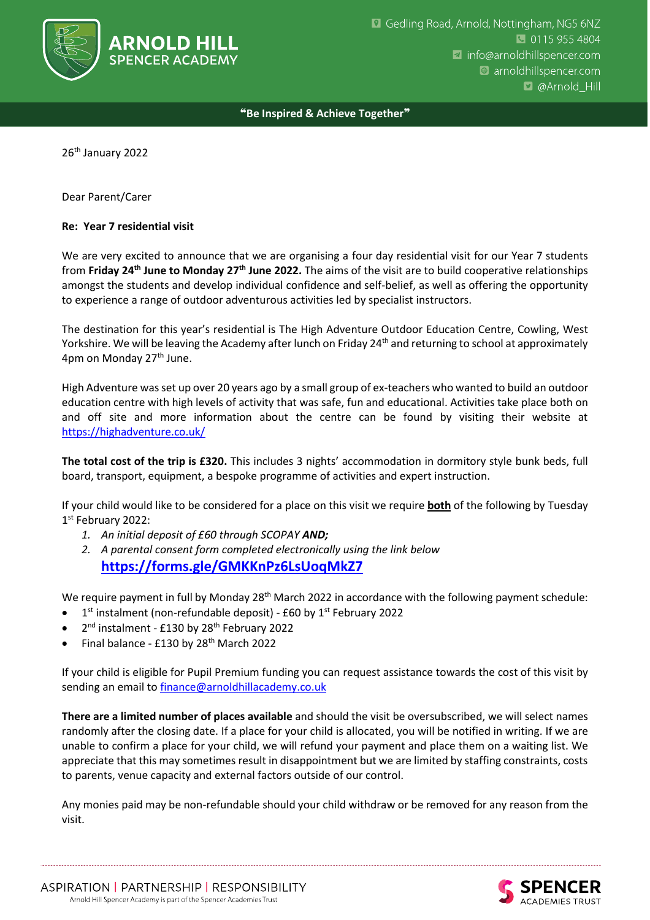

## ❝**Be Inspired & Achieve Together**❞

26<sup>th</sup> January 2022

Dear Parent/Carer

## **Re: Year 7 residential visit**

We are very excited to announce that we are organising a four day residential visit for our Year 7 students from **Friday 24th June to Monday 27th June 2022.** The aims of the visit are to build cooperative relationships amongst the students and develop individual confidence and self-belief, as well as offering the opportunity to experience a range of outdoor adventurous activities led by specialist instructors.

The destination for this year's residential is The High Adventure Outdoor Education Centre, Cowling, West Yorkshire. We will be leaving the Academy after lunch on Friday 24<sup>th</sup> and returning to school at approximately 4pm on Monday 27<sup>th</sup> June.

High Adventure was set up over 20 years ago by a small group of ex-teachers who wanted to build an outdoor education centre with high levels of activity that was safe, fun and educational. Activities take place both on and off site and more information about the centre can be found by visiting their website at <https://highadventure.co.uk/>

**The total cost of the trip is £320.** This includes 3 nights' accommodation in dormitory style bunk beds, full board, transport, equipment, a bespoke programme of activities and expert instruction.

If your child would like to be considered for a place on this visit we require **both** of the following by Tuesday 1 st February 2022:

- *1. An initial deposit of £60 through SCOPAY AND;*
- *2. A parental consent form completed electronically using the link below* **<https://forms.gle/GMKKnPz6LsUoqMkZ7>**

We require payment in full by Monday 28<sup>th</sup> March 2022 in accordance with the following payment schedule:

- $\bullet$  1<sup>st</sup> instalment (non-refundable deposit) £60 by 1<sup>st</sup> February 2022
- 2<sup>nd</sup> instalment £130 by 28<sup>th</sup> February 2022
- Final balance £130 by 28th March 2022

If your child is eligible for Pupil Premium funding you can request assistance towards the cost of this visit by sending an email t[o finance@arnoldhillacademy.co.uk](mailto:finance@arnoldhillacademy.co.uk)

**There are a limited number of places available** and should the visit be oversubscribed, we will select names randomly after the closing date. If a place for your child is allocated, you will be notified in writing. If we are unable to confirm a place for your child, we will refund your payment and place them on a waiting list. We appreciate that this may sometimes result in disappointment but we are limited by staffing constraints, costs to parents, venue capacity and external factors outside of our control.

Any monies paid may be non-refundable should your child withdraw or be removed for any reason from the visit.